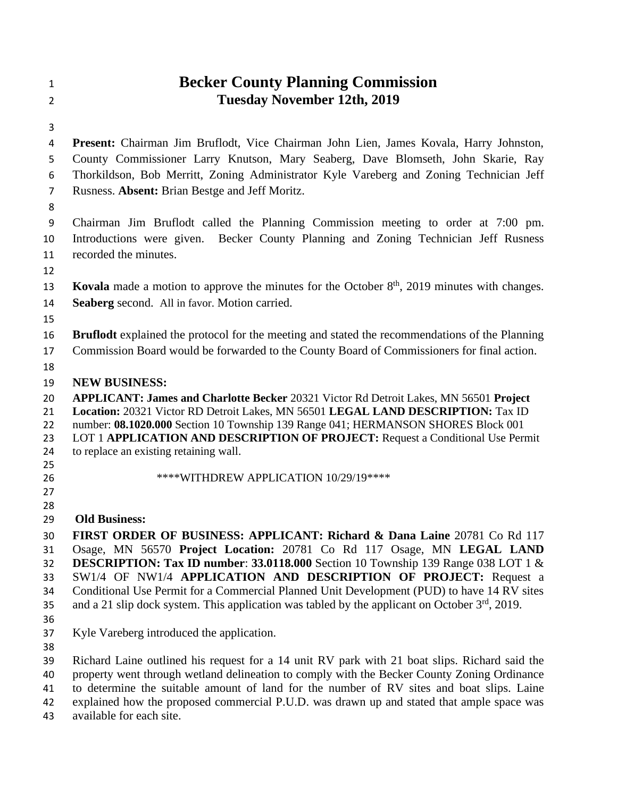## **Becker County Planning Commission Tuesday November 12th, 2019**

 **Present:** Chairman Jim Bruflodt, Vice Chairman John Lien, James Kovala, Harry Johnston, County Commissioner Larry Knutson, Mary Seaberg, Dave Blomseth, John Skarie, Ray Thorkildson, Bob Merritt, Zoning Administrator Kyle Vareberg and Zoning Technician Jeff Rusness. **Absent:** Brian Bestge and Jeff Moritz.

 Chairman Jim Bruflodt called the Planning Commission meeting to order at 7:00 pm. Introductions were given. Becker County Planning and Zoning Technician Jeff Rusness recorded the minutes.

- 
- **Kovala** made a motion to approve the minutes for the October 8<sup>th</sup>, 2019 minutes with changes. **Seaberg** second. All in favor. Motion carried.
- 

**Bruflodt** explained the protocol for the meeting and stated the recommendations of the Planning

- Commission Board would be forwarded to the County Board of Commissioners for final action.
- 

**NEW BUSINESS:**

**APPLICANT: James and Charlotte Becker** 20321 Victor Rd Detroit Lakes, MN 56501 **Project** 

**Location:** 20321 Victor RD Detroit Lakes, MN 56501 **LEGAL LAND DESCRIPTION:** Tax ID

- number: **08.1020.000** Section 10 Township 139 Range 041; HERMANSON SHORES Block 001 LOT 1 **APPLICATION AND DESCRIPTION OF PROJECT:** Request a Conditional Use Permit
- to replace an existing retaining wall.
- 
- \*\*\*\*WITHDREW APPLICATION 10/29/19\*\*\*\*
- 
- 

## **Old Business:**

 **FIRST ORDER OF BUSINESS: APPLICANT: Richard & Dana Laine** 20781 Co Rd 117 Osage, MN 56570 **Project Location:** 20781 Co Rd 117 Osage, MN **LEGAL LAND DESCRIPTION: Tax ID number**: **33.0118.000** Section 10 Township 139 Range 038 LOT 1 & SW1/4 OF NW1/4 **APPLICATION AND DESCRIPTION OF PROJECT:** Request a Conditional Use Permit for a Commercial Planned Unit Development (PUD) to have 14 RV sites 35 and a 21 slip dock system. This application was tabled by the applicant on October  $3<sup>rd</sup>$ , 2019.

- 
- Kyle Vareberg introduced the application.
- 

 Richard Laine outlined his request for a 14 unit RV park with 21 boat slips. Richard said the property went through wetland delineation to comply with the Becker County Zoning Ordinance to determine the suitable amount of land for the number of RV sites and boat slips. Laine

explained how the proposed commercial P.U.D. was drawn up and stated that ample space was

available for each site.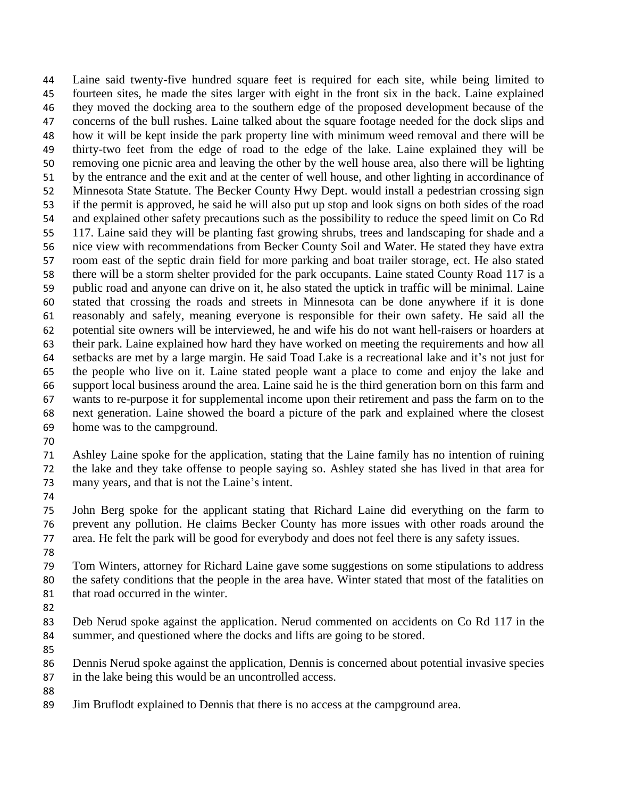Laine said twenty-five hundred square feet is required for each site, while being limited to fourteen sites, he made the sites larger with eight in the front six in the back. Laine explained they moved the docking area to the southern edge of the proposed development because of the concerns of the bull rushes. Laine talked about the square footage needed for the dock slips and how it will be kept inside the park property line with minimum weed removal and there will be thirty-two feet from the edge of road to the edge of the lake. Laine explained they will be removing one picnic area and leaving the other by the well house area, also there will be lighting by the entrance and the exit and at the center of well house, and other lighting in accordinance of Minnesota State Statute. The Becker County Hwy Dept. would install a pedestrian crossing sign if the permit is approved, he said he will also put up stop and look signs on both sides of the road and explained other safety precautions such as the possibility to reduce the speed limit on Co Rd 117. Laine said they will be planting fast growing shrubs, trees and landscaping for shade and a nice view with recommendations from Becker County Soil and Water. He stated they have extra room east of the septic drain field for more parking and boat trailer storage, ect. He also stated there will be a storm shelter provided for the park occupants. Laine stated County Road 117 is a public road and anyone can drive on it, he also stated the uptick in traffic will be minimal. Laine stated that crossing the roads and streets in Minnesota can be done anywhere if it is done reasonably and safely, meaning everyone is responsible for their own safety. He said all the potential site owners will be interviewed, he and wife his do not want hell-raisers or hoarders at their park. Laine explained how hard they have worked on meeting the requirements and how all setbacks are met by a large margin. He said Toad Lake is a recreational lake and it's not just for the people who live on it. Laine stated people want a place to come and enjoy the lake and support local business around the area. Laine said he is the third generation born on this farm and wants to re-purpose it for supplemental income upon their retirement and pass the farm on to the next generation. Laine showed the board a picture of the park and explained where the closest home was to the campground.

 Ashley Laine spoke for the application, stating that the Laine family has no intention of ruining the lake and they take offense to people saying so. Ashley stated she has lived in that area for many years, and that is not the Laine's intent.

 John Berg spoke for the applicant stating that Richard Laine did everything on the farm to prevent any pollution. He claims Becker County has more issues with other roads around the area. He felt the park will be good for everybody and does not feel there is any safety issues.

 Tom Winters, attorney for Richard Laine gave some suggestions on some stipulations to address the safety conditions that the people in the area have. Winter stated that most of the fatalities on that road occurred in the winter.

- 
- Deb Nerud spoke against the application. Nerud commented on accidents on Co Rd 117 in the summer, and questioned where the docks and lifts are going to be stored.
- 
- Dennis Nerud spoke against the application, Dennis is concerned about potential invasive species in the lake being this would be an uncontrolled access.

Jim Bruflodt explained to Dennis that there is no access at the campground area.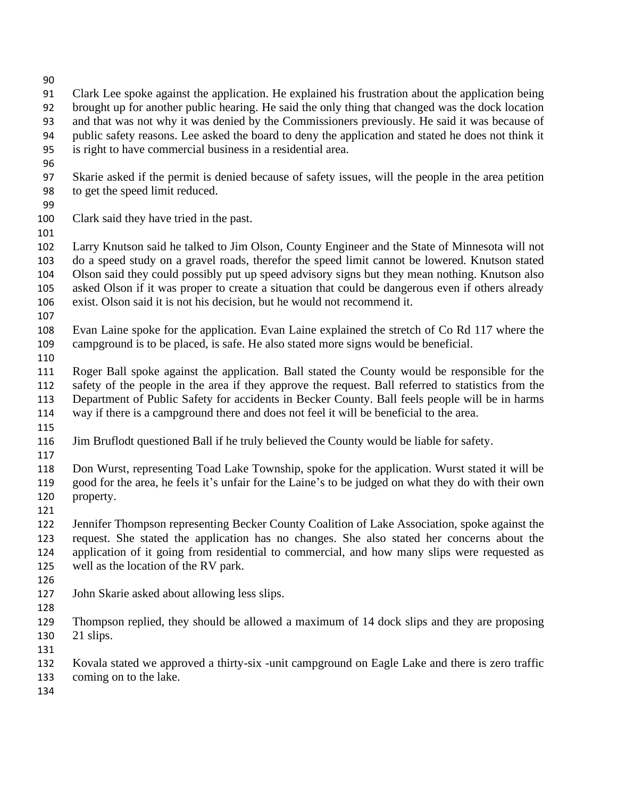- 
- Clark Lee spoke against the application. He explained his frustration about the application being brought up for another public hearing. He said the only thing that changed was the dock location and that was not why it was denied by the Commissioners previously. He said it was because of public safety reasons. Lee asked the board to deny the application and stated he does not think it is right to have commercial business in a residential area. Skarie asked if the permit is denied because of safety issues, will the people in the area petition to get the speed limit reduced. Clark said they have tried in the past. Larry Knutson said he talked to Jim Olson, County Engineer and the State of Minnesota will not do a speed study on a gravel roads, therefor the speed limit cannot be lowered. Knutson stated Olson said they could possibly put up speed advisory signs but they mean nothing. Knutson also asked Olson if it was proper to create a situation that could be dangerous even if others already exist. Olson said it is not his decision, but he would not recommend it. Evan Laine spoke for the application. Evan Laine explained the stretch of Co Rd 117 where the
- campground is to be placed, is safe. He also stated more signs would be beneficial.
- 
- Roger Ball spoke against the application. Ball stated the County would be responsible for the safety of the people in the area if they approve the request. Ball referred to statistics from the Department of Public Safety for accidents in Becker County. Ball feels people will be in harms way if there is a campground there and does not feel it will be beneficial to the area.
- 
- Jim Bruflodt questioned Ball if he truly believed the County would be liable for safety.
- 
- Don Wurst, representing Toad Lake Township, spoke for the application. Wurst stated it will be good for the area, he feels it's unfair for the Laine's to be judged on what they do with their own property.
- 
- Jennifer Thompson representing Becker County Coalition of Lake Association, spoke against the request. She stated the application has no changes. She also stated her concerns about the application of it going from residential to commercial, and how many slips were requested as well as the location of the RV park.
- 
- John Skarie asked about allowing less slips.
- 
- Thompson replied, they should be allowed a maximum of 14 dock slips and they are proposing 21 slips.
- 
- Kovala stated we approved a thirty-six -unit campground on Eagle Lake and there is zero traffic
- coming on to the lake.
-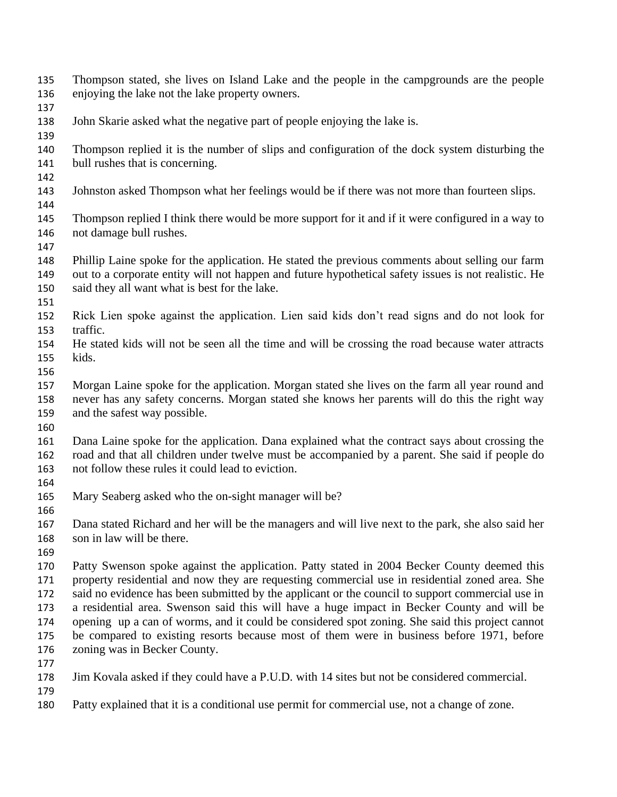- Thompson stated, she lives on Island Lake and the people in the campgrounds are the people enjoying the lake not the lake property owners.
- 
- John Skarie asked what the negative part of people enjoying the lake is.
- 
- Thompson replied it is the number of slips and configuration of the dock system disturbing the bull rushes that is concerning.
- 
- Johnston asked Thompson what her feelings would be if there was not more than fourteen slips.
- Thompson replied I think there would be more support for it and if it were configured in a way to not damage bull rushes.
- 
- Phillip Laine spoke for the application. He stated the previous comments about selling our farm out to a corporate entity will not happen and future hypothetical safety issues is not realistic. He
- said they all want what is best for the lake.
- 
- Rick Lien spoke against the application. Lien said kids don't read signs and do not look for traffic.
- He stated kids will not be seen all the time and will be crossing the road because water attracts kids.
- 
- Morgan Laine spoke for the application. Morgan stated she lives on the farm all year round and never has any safety concerns. Morgan stated she knows her parents will do this the right way and the safest way possible.
- 
- Dana Laine spoke for the application. Dana explained what the contract says about crossing the road and that all children under twelve must be accompanied by a parent. She said if people do not follow these rules it could lead to eviction.
- 

- Mary Seaberg asked who the on-sight manager will be?
- Dana stated Richard and her will be the managers and will live next to the park, she also said her son in law will be there.
- 

 Patty Swenson spoke against the application. Patty stated in 2004 Becker County deemed this property residential and now they are requesting commercial use in residential zoned area. She 172 said no evidence has been submitted by the applicant or the council to support commercial use in a residential area. Swenson said this will have a huge impact in Becker County and will be opening up a can of worms, and it could be considered spot zoning. She said this project cannot be compared to existing resorts because most of them were in business before 1971, before zoning was in Becker County.

- 
- Jim Kovala asked if they could have a P.U.D. with 14 sites but not be considered commercial.
- 
- Patty explained that it is a conditional use permit for commercial use, not a change of zone.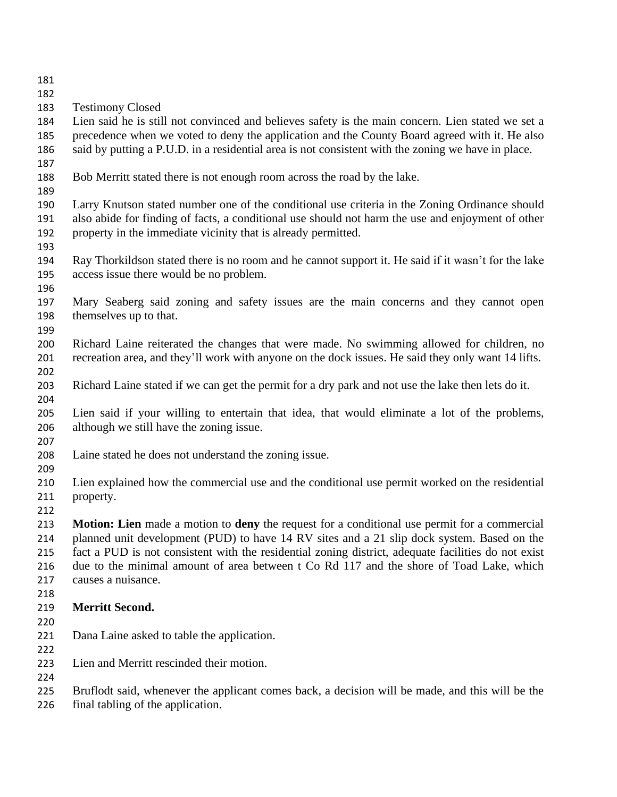- 
- Testimony Closed

 Lien said he is still not convinced and believes safety is the main concern. Lien stated we set a precedence when we voted to deny the application and the County Board agreed with it. He also said by putting a P.U.D. in a residential area is not consistent with the zoning we have in place.

## Bob Merritt stated there is not enough room across the road by the lake.

 Larry Knutson stated number one of the conditional use criteria in the Zoning Ordinance should also abide for finding of facts, a conditional use should not harm the use and enjoyment of other property in the immediate vicinity that is already permitted.

- 
- Ray Thorkildson stated there is no room and he cannot support it. He said if it wasn't for the lake access issue there would be no problem.
- 

 Mary Seaberg said zoning and safety issues are the main concerns and they cannot open themselves up to that.

 Richard Laine reiterated the changes that were made. No swimming allowed for children, no recreation area, and they'll work with anyone on the dock issues. He said they only want 14 lifts. 

- Richard Laine stated if we can get the permit for a dry park and not use the lake then lets do it.
- Lien said if your willing to entertain that idea, that would eliminate a lot of the problems, although we still have the zoning issue.
- 
- Laine stated he does not understand the zoning issue.
- 
- Lien explained how the commercial use and the conditional use permit worked on the residential property.
- 

 **Motion: Lien** made a motion to **deny** the request for a conditional use permit for a commercial planned unit development (PUD) to have 14 RV sites and a 21 slip dock system. Based on the fact a PUD is not consistent with the residential zoning district, adequate facilities do not exist due to the minimal amount of area between t Co Rd 117 and the shore of Toad Lake, which causes a nuisance. 

- **Merritt Second.**
- 
- Dana Laine asked to table the application.

- Lien and Merritt rescinded their motion.
- 
- Bruflodt said, whenever the applicant comes back, a decision will be made, and this will be the
- final tabling of the application.